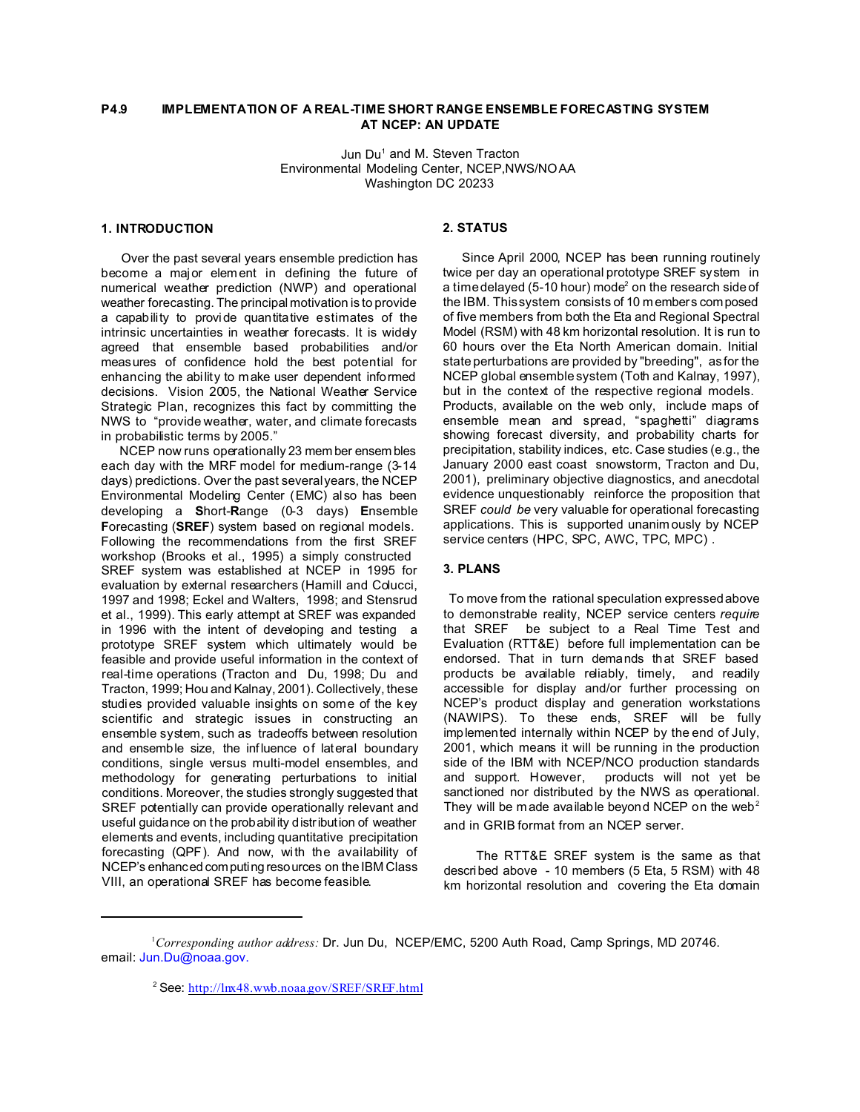# **P4.9 IMPLEMENTATION OF A REAL-TIME SHORT RANGE ENSEMBLE FORECASTING SYSTEM AT NCEP: AN UPDATE**

Jun Du<sup>1</sup> and M. Steven Tracton Environmental Modeling Center, NCEP,NWS/NOAA Washington DC 20233

#### **1. INTRODUCTION**

 Over the past several years ensemble prediction has become a major element in defining the future of numerical weather prediction (NWP) and operational weather forecasting. The principal motivation is to provide a capability to provide quantitative estimates of the intrinsic uncertainties in weather forecasts. It is widely agreed that ensemble based probabilities and/or measures of confidence hold the best potential for enhancing the abi lity to make user dependent informed decisions. Vision 2005, the National Weather Service Strategic Plan, recognizes this fact by committing the NWS to "provide weather, water, and climate forecasts in probabilistic terms by 2005."

 NCEP now runs operationally 23 mem ber ensem bles each day with the MRF model for medium-range (3-14 days) predictions. Over the past several years, the NCEP Environmental Modeling Center (EMC) also has been developing a **S**hort-**R**ange (0-3 days) **E**nsemble **F**orecasting (**SREF**) system based on regional models. Following the recommendations from the first SREF workshop (Brooks et al., 1995) a simply constructed SREF system was established at NCEP in 1995 for evaluation by external researchers (Hamill and Colucci, 1997 and 1998; Eckel and Walters, 1998; and Stensrud et al., 1999). This early attempt at SREF was expanded in 1996 with the intent of developing and testing a prototype SREF system which ultimately would be feasible and provide useful information in the context of real-time operations (Tracton and Du, 1998; Du and Tracton, 1999; Hou and Kalnay, 2001). Collectively, these studies provided valuable insights on some of the key scientific and strategic issues in constructing an ensemble system, such as tradeoffs between resolution and ensemble size, the influence of lateral boundary conditions, single versus multi-model ensembles, and methodology for generating perturbations to initial conditions. Moreover, the studies strongly suggested that SREF potentially can provide operationally relevant and useful guidance on the probability distribution of weather elements and events, including quantitative precipitation forecasting (QPF). And now, with the availability of NCEP's enhanced computing resources on the IBM Class VIII, an operational SREF has become feasible.

## **2. STATUS**

 Since April 2000, NCEP has been running routinely twice per day an operational prototype SREF system in a time delayed (5-10 hour) mode $^{\rm 2}$  on the research side of the IBM. This system consists of 10 m embers composed of five members from both the Eta and Regional Spectral Model (RSM) with 48 km horizontal resolution. It is run to 60 hours over the Eta North American domain. Initial state perturbations are provided by "breeding", as for the NCEP global ensemble system (Toth and Kalnay, 1997), but in the context of the respective regional models. Products, available on the web only, include maps of ensemble mean and spread, "spaghetti" diagrams showing forecast diversity, and probability charts for precipitation, stability indices, etc. Case studies (e.g., the January 2000 east coast snowstorm, Tracton and Du, 2001), preliminary objective diagnostics, and anecdotal evidence unquestionably reinforce the proposition that SREF *could be* very valuable for operational forecasting applications. This is supported unanim ously by NCEP service centers (HPC, SPC, AWC, TPC, MPC) .

### **3. PLANS**

 To move from the rational speculation expressed above to demonstrable reality, NCEP service centers *require* that SREF be subject to a Real Time Test and Evaluation (RTT&E) before full implementation can be endorsed. That in turn demands that SREF based products be available reliably, timely, and readily accessible for display and/or further processing on NCEP's product display and generation workstations (NAWIPS). To these ends, SREF will be fully implemented internally within NCEP by the end of July, 2001, which means it will be running in the production side of the IBM with NCEP/NCO production standards and support. However, products will not yet be sanctioned nor distributed by the NWS as operational. They will be made available beyond NCEP on the web<sup>2</sup> and in GRIB format from an NCEP server.

 The RTT&E SREF system is the same as that described above - 10 members (5 Eta, 5 RSM) with 48 km horizontal resolution and covering the Eta domain

<sup>1</sup>*Corresponding author address:* Dr. Jun Du, NCEP/EMC, 5200 Auth Road, Camp Springs, MD 20746. email: Jun.Du@noaa.gov.

<sup>2</sup>See: http://lnx48.wwb.noaa.gov/SREF/SREF.html